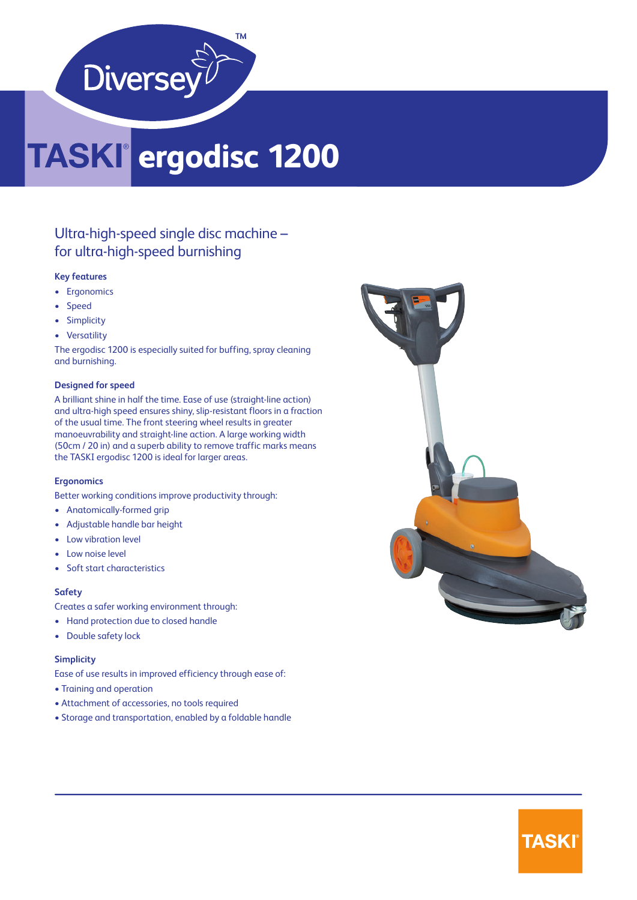

## **ergodisc 1200**

### Ultra-high-speed single disc machine – for ultra-high-speed burnishing

#### **Key features**

- Ergonomics
- Speed
- Simplicity
- Versatility

The ergodisc 1200 is especially suited for buffing, spray cleaning and burnishing.

#### **Designed for speed**

A brilliant shine in half the time. Ease of use (straight-line action) and ultra-high speed ensures shiny, slip-resistant floors in a fraction of the usual time. The front steering wheel results in greater manoeuvrability and straight-line action. A large working width (50cm / 20 in) and a superb ability to remove traffic marks means the TASKI ergodisc 1200 is ideal for larger areas.

#### **Ergonomics**

Better working conditions improve productivity through:

- Anatomically-formed grip
- Adjustable handle bar height
- Low vibration level
- Low noise level
- Soft start characteristics

#### **Safety**

Creates a safer working environment through:

- Hand protection due to closed handle
- Double safety lock

#### **Simplicity**

Ease of use results in improved efficiency through ease of:

- Training and operation
- Attachment of accessories, no tools required
- Storage and transportation, enabled by a foldable handle